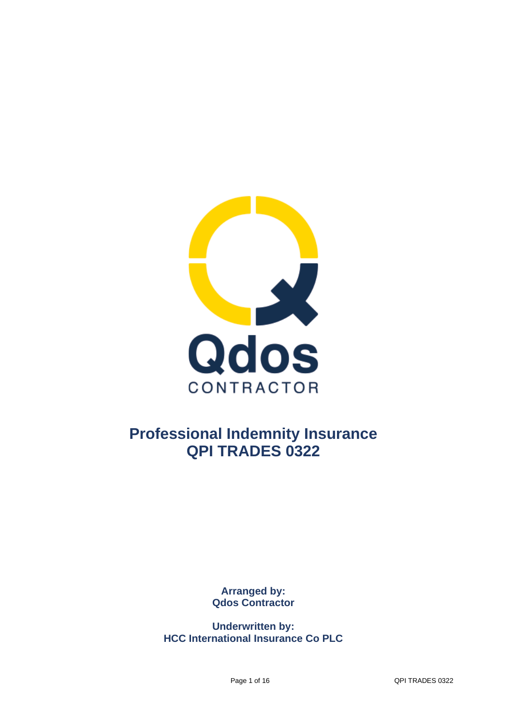

## **Professional Indemnity Insurance QPI TRADES 0322**

**Arranged by: Qdos Contractor**

**Underwritten by: HCC International Insurance Co PLC**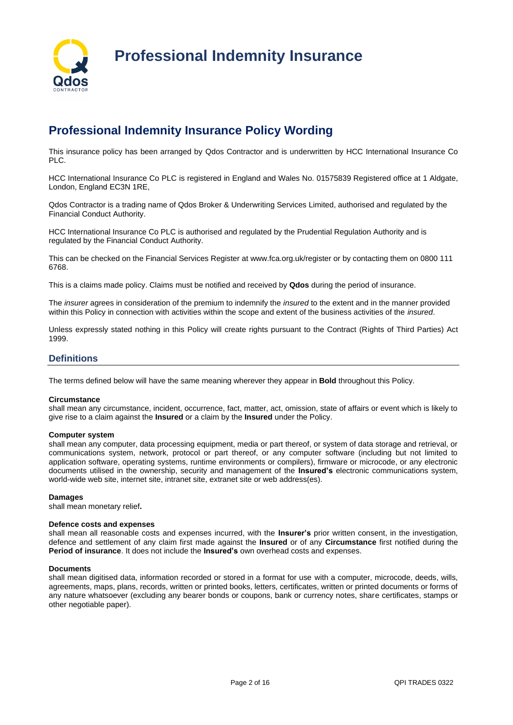

## **Professional Indemnity Insurance Policy Wording**

This insurance policy has been arranged by Qdos Contractor and is underwritten by HCC International Insurance Co PLC.

HCC International Insurance Co PLC is registered in England and Wales No. 01575839 Registered office at 1 Aldgate, London, England EC3N 1RE,

Qdos Contractor is a trading name of Qdos Broker & Underwriting Services Limited, authorised and regulated by the Financial Conduct Authority.

HCC International Insurance Co PLC is authorised and regulated by the Prudential Regulation Authority and is regulated by the Financial Conduct Authority.

This can be checked on the Financial Services Register at www.fca.org.uk/register or by contacting them on 0800 111 6768.

This is a claims made policy. Claims must be notified and received by **Qdos** during the period of insurance.

The *insurer* agrees in consideration of the premium to indemnify the *insured* to the extent and in the manner provided within this Policy in connection with activities within the scope and extent of the business activities of the *insured*.

Unless expressly stated nothing in this Policy will create rights pursuant to the Contract (Rights of Third Parties) Act 1999.

## **Definitions**

The terms defined below will have the same meaning wherever they appear in **Bold** throughout this Policy.

## **Circumstance**

shall mean any circumstance, incident, occurrence, fact, matter, act, omission, state of affairs or event which is likely to give rise to a claim against the **Insured** or a claim by the **Insured** under the Policy.

## **Computer system**

shall mean any computer, data processing equipment, media or part thereof, or system of data storage and retrieval, or communications system, network, protocol or part thereof, or any computer software (including but not limited to application software, operating systems, runtime environments or compilers), firmware or microcode, or any electronic documents utilised in the ownership, security and management of the **Insured's** electronic communications system, world-wide web site, internet site, intranet site, extranet site or web address(es).

#### **Damages**

shall mean monetary relief**.**

#### **Defence costs and expenses**

shall mean all reasonable costs and expenses incurred, with the **Insurer's** prior written consent, in the investigation, defence and settlement of any claim first made against the **Insured** or of any **Circumstance** first notified during the **Period of insurance**. It does not include the **Insured's** own overhead costs and expenses.

#### **Documents**

shall mean digitised data, information recorded or stored in a format for use with a computer, microcode, deeds, wills, agreements, maps, plans, records, written or printed books, letters, certificates, written or printed documents or forms of any nature whatsoever (excluding any bearer bonds or coupons, bank or currency notes, share certificates, stamps or other negotiable paper).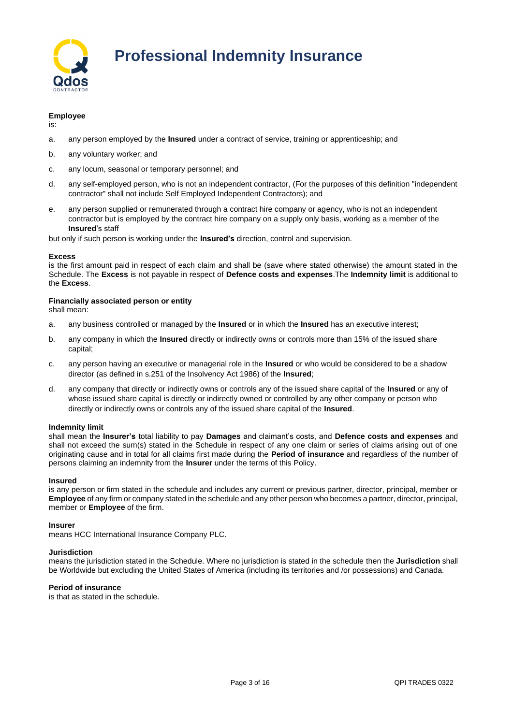

## **Employee**

is:

- a. any person employed by the **Insured** under a contract of service, training or apprenticeship; and
- b. any voluntary worker; and
- c. any locum, seasonal or temporary personnel; and
- d. any self-employed person, who is not an independent contractor, (For the purposes of this definition "independent contractor" shall not include Self Employed Independent Contractors); and
- e. any person supplied or remunerated through a contract hire company or agency, who is not an independent contractor but is employed by the contract hire company on a supply only basis, working as a member of the **Insured**'s staff

but only if such person is working under the **Insured's** direction, control and supervision.

## **Excess**

is the first amount paid in respect of each claim and shall be (save where stated otherwise) the amount stated in the Schedule. The **Excess** is not payable in respect of **Defence costs and expenses**.The **Indemnity limit** is additional to the **Excess**.

## **Financially associated person or entity**

shall mean:

- a. any business controlled or managed by the **Insured** or in which the **Insured** has an executive interest;
- b. any company in which the **Insured** directly or indirectly owns or controls more than 15% of the issued share capital;
- c. any person having an executive or managerial role in the **Insured** or who would be considered to be a shadow director (as defined in s.251 of the Insolvency Act 1986) of the **Insured**;
- d. any company that directly or indirectly owns or controls any of the issued share capital of the **Insured** or any of whose issued share capital is directly or indirectly owned or controlled by any other company or person who directly or indirectly owns or controls any of the issued share capital of the **Insured**.

## **Indemnity limit**

shall mean the **Insurer's** total liability to pay **Damages** and claimant's costs, and **Defence costs and expenses** and shall not exceed the sum(s) stated in the Schedule in respect of any one claim or series of claims arising out of one originating cause and in total for all claims first made during the **Period of insurance** and regardless of the number of persons claiming an indemnity from the **Insurer** under the terms of this Policy.

## **Insured**

is any person or firm stated in the schedule and includes any current or previous partner, director, principal, member or **Employee** of any firm or company stated in the schedule and any other person who becomes a partner, director, principal, member or **Employee** of the firm.

## **Insurer**

means HCC International Insurance Company PLC.

## **Jurisdiction**

means the jurisdiction stated in the Schedule. Where no jurisdiction is stated in the schedule then the **Jurisdiction** shall be Worldwide but excluding the United States of America (including its territories and /or possessions) and Canada.

## **Period of insurance**

is that as stated in the schedule.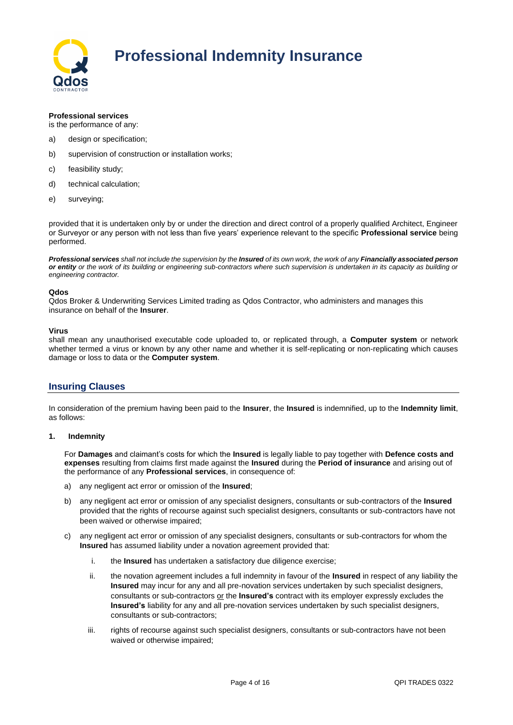

## **Professional services**

is the performance of any:

- a) design or specification;
- b) supervision of construction or installation works;
- c) feasibility study;
- d) technical calculation;
- e) surveying;

provided that it is undertaken only by or under the direction and direct control of a properly qualified Architect, Engineer or Surveyor or any person with not less than five years' experience relevant to the specific **Professional service** being performed.

*Professional services shall not include the supervision by the Insured of its own work, the work of any Financially associated person or entity or the work of its building or engineering sub-contractors where such supervision is undertaken in its capacity as building or engineering contractor.*

## **Qdos**

Qdos Broker & Underwriting Services Limited trading as Qdos Contractor, who administers and manages this insurance on behalf of the **Insurer**.

## **Virus**

shall mean any unauthorised executable code uploaded to, or replicated through, a **Computer system** or network whether termed a virus or known by any other name and whether it is self-replicating or non-replicating which causes damage or loss to data or the **Computer system**.

## **Insuring Clauses**

In consideration of the premium having been paid to the **Insurer**, the **Insured** is indemnified, up to the **Indemnity limit**, as follows:

## **1. Indemnity**

For **Damages** and claimant's costs for which the **Insured** is legally liable to pay together with **Defence costs and expenses** resulting from claims first made against the **Insured** during the **Period of insurance** and arising out of the performance of any **Professional services**, in consequence of:

- a) any negligent act error or omission of the **Insured**;
- b) any negligent act error or omission of any specialist designers, consultants or sub-contractors of the **Insured**  provided that the rights of recourse against such specialist designers, consultants or sub-contractors have not been waived or otherwise impaired;
- c) any negligent act error or omission of any specialist designers, consultants or sub-contractors for whom the **Insured** has assumed liability under a novation agreement provided that:
	- i. the **Insured** has undertaken a satisfactory due diligence exercise;
	- ii. the novation agreement includes a full indemnity in favour of the **Insured** in respect of any liability the **Insured** may incur for any and all pre-novation services undertaken by such specialist designers, consultants or sub-contractors or the **Insured's** contract with its employer expressly excludes the **Insured's** liability for any and all pre-novation services undertaken by such specialist designers, consultants or sub-contractors;
	- iii. rights of recourse against such specialist designers, consultants or sub-contractors have not been waived or otherwise impaired;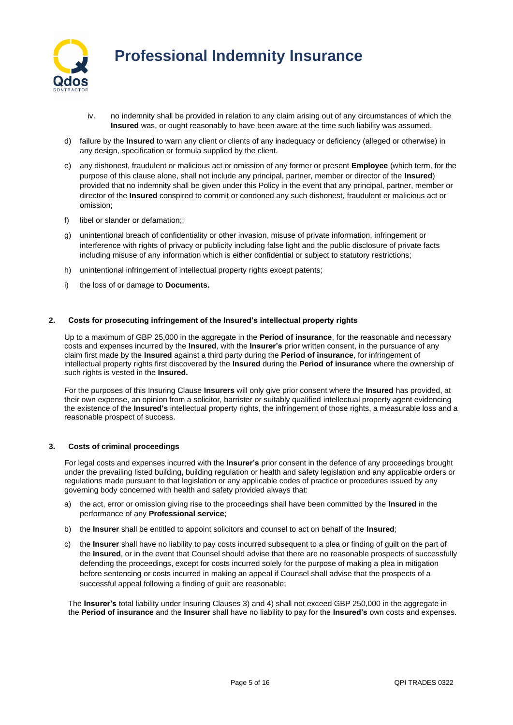

- iv. no indemnity shall be provided in relation to any claim arising out of any circumstances of which the **Insured** was, or ought reasonably to have been aware at the time such liability was assumed.
- d) failure by the **Insured** to warn any client or clients of any inadequacy or deficiency (alleged or otherwise) in any design, specification or formula supplied by the client.
- e) any dishonest, fraudulent or malicious act or omission of any former or present **Employee** (which term, for the purpose of this clause alone, shall not include any principal, partner, member or director of the **Insured**) provided that no indemnity shall be given under this Policy in the event that any principal, partner, member or director of the **Insured** conspired to commit or condoned any such dishonest, fraudulent or malicious act or omission;
- f) libel or slander or defamation;;
- g) unintentional breach of confidentiality or other invasion, misuse of private information, infringement or interference with rights of privacy or publicity including false light and the public disclosure of private facts including misuse of any information which is either confidential or subject to statutory restrictions;
- h) unintentional infringement of intellectual property rights except patents;
- i) the loss of or damage to **Documents.**

## **2. Costs for prosecuting infringement of the Insured's intellectual property rights**

Up to a maximum of GBP 25,000 in the aggregate in the **Period of insurance**, for the reasonable and necessary costs and expenses incurred by the **Insured**, with the **Insurer's** prior written consent, in the pursuance of any claim first made by the **Insured** against a third party during the **Period of insurance**, for infringement of intellectual property rights first discovered by the **Insured** during the **Period of insurance** where the ownership of such rights is vested in the **Insured.**

For the purposes of this Insuring Clause **Insurers** will only give prior consent where the **Insured** has provided, at their own expense, an opinion from a solicitor, barrister or suitably qualified intellectual property agent evidencing the existence of the **Insured's** intellectual property rights, the infringement of those rights, a measurable loss and a reasonable prospect of success.

## **3. Costs of criminal proceedings**

For legal costs and expenses incurred with the **Insurer's** prior consent in the defence of any proceedings brought under the prevailing listed building, building regulation or health and safety legislation and any applicable orders or regulations made pursuant to that legislation or any applicable codes of practice or procedures issued by any governing body concerned with health and safety provided always that:

- a) the act, error or omission giving rise to the proceedings shall have been committed by the **Insured** in the performance of any **Professional service**;
- b) the **Insurer** shall be entitled to appoint solicitors and counsel to act on behalf of the **Insured**;
- c) the **Insurer** shall have no liability to pay costs incurred subsequent to a plea or finding of guilt on the part of the **Insured**, or in the event that Counsel should advise that there are no reasonable prospects of successfully defending the proceedings, except for costs incurred solely for the purpose of making a plea in mitigation before sentencing or costs incurred in making an appeal if Counsel shall advise that the prospects of a successful appeal following a finding of guilt are reasonable;

The **Insurer's** total liability under Insuring Clauses 3) and 4) shall not exceed GBP 250,000 in the aggregate in the **Period of insurance** and the **Insurer** shall have no liability to pay for the **Insured's** own costs and expenses.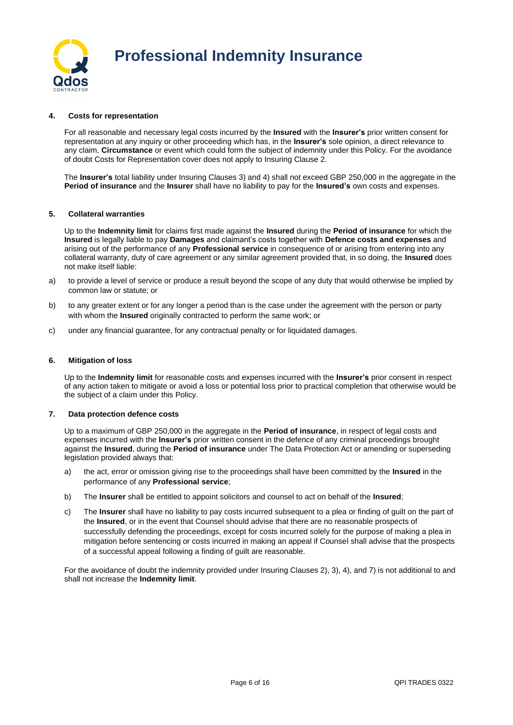

## **4. Costs for representation**

For all reasonable and necessary legal costs incurred by the **Insured** with the **Insurer's** prior written consent for representation at any inquiry or other proceeding which has, in the **Insurer's** sole opinion, a direct relevance to any claim, **Circumstance** or event which could form the subject of indemnity under this Policy. For the avoidance of doubt Costs for Representation cover does not apply to Insuring Clause 2.

The **Insurer's** total liability under Insuring Clauses 3) and 4) shall not exceed GBP 250,000 in the aggregate in the **Period of insurance** and the **Insurer** shall have no liability to pay for the **Insured's** own costs and expenses.

## **5. Collateral warranties**

Up to the **Indemnity limit** for claims first made against the **Insured** during the **Period of insurance** for which the **Insured** is legally liable to pay **Damages** and claimant's costs together with **Defence costs and expenses** and arising out of the performance of any **Professional service** in consequence of or arising from entering into any collateral warranty, duty of care agreement or any similar agreement provided that, in so doing, the **Insured** does not make itself liable:

- a) to provide a level of service or produce a result beyond the scope of any duty that would otherwise be implied by common law or statute; or
- b) to any greater extent or for any longer a period than is the case under the agreement with the person or party with whom the **Insured** originally contracted to perform the same work; or
- c) under any financial guarantee, for any contractual penalty or for liquidated damages.

### **6. Mitigation of loss**

Up to the **Indemnity limit** for reasonable costs and expenses incurred with the **Insurer's** prior consent in respect of any action taken to mitigate or avoid a loss or potential loss prior to practical completion that otherwise would be the subject of a claim under this Policy.

## **7. Data protection defence costs**

Up to a maximum of GBP 250,000 in the aggregate in the **Period of insurance**, in respect of legal costs and expenses incurred with the **Insurer's** prior written consent in the defence of any criminal proceedings brought against the **Insured**, during the **Period of insurance** under The Data Protection Act or amending or superseding legislation provided always that:

- a) the act, error or omission giving rise to the proceedings shall have been committed by the **Insured** in the performance of any **Professional service**;
- b) The **Insurer** shall be entitled to appoint solicitors and counsel to act on behalf of the **Insured**;
- c) The **Insurer** shall have no liability to pay costs incurred subsequent to a plea or finding of guilt on the part of the **Insured**, or in the event that Counsel should advise that there are no reasonable prospects of successfully defending the proceedings, except for costs incurred solely for the purpose of making a plea in mitigation before sentencing or costs incurred in making an appeal if Counsel shall advise that the prospects of a successful appeal following a finding of guilt are reasonable.

For the avoidance of doubt the indemnity provided under Insuring Clauses 2), 3), 4), and 7) is not additional to and shall not increase the **Indemnity limit**.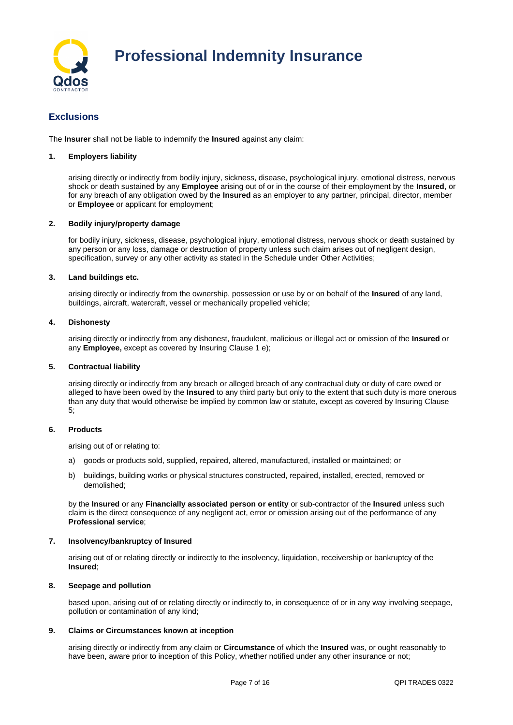

## **Exclusions**

The **Insurer** shall not be liable to indemnify the **Insured** against any claim:

## **1. Employers liability**

arising directly or indirectly from bodily injury, sickness, disease, psychological injury, emotional distress, nervous shock or death sustained by any **Employee** arising out of or in the course of their employment by the **Insured**, or for any breach of any obligation owed by the **Insured** as an employer to any partner, principal, director, member or **Employee** or applicant for employment;

## **2. Bodily injury/property damage**

for bodily injury, sickness, disease, psychological injury, emotional distress, nervous shock or death sustained by any person or any loss, damage or destruction of property unless such claim arises out of negligent design, specification, survey or any other activity as stated in the Schedule under Other Activities;

## **3. Land buildings etc.**

arising directly or indirectly from the ownership, possession or use by or on behalf of the **Insured** of any land, buildings, aircraft, watercraft, vessel or mechanically propelled vehicle;

## **4. Dishonesty**

arising directly or indirectly from any dishonest, fraudulent, malicious or illegal act or omission of the **Insured** or any **Employee,** except as covered by Insuring Clause 1 e);

## **5. Contractual liability**

arising directly or indirectly from any breach or alleged breach of any contractual duty or duty of care owed or alleged to have been owed by the **Insured** to any third party but only to the extent that such duty is more onerous than any duty that would otherwise be implied by common law or statute, except as covered by Insuring Clause 5;

## **6. Products**

arising out of or relating to:

- a) goods or products sold, supplied, repaired, altered, manufactured, installed or maintained; or
- b) buildings, building works or physical structures constructed, repaired, installed, erected, removed or demolished;

by the **Insured** or any **Financially associated person or entity** or sub-contractor of the **Insured** unless such claim is the direct consequence of any negligent act, error or omission arising out of the performance of any **Professional service**;

## **7. Insolvency/bankruptcy of Insured**

arising out of or relating directly or indirectly to the insolvency, liquidation, receivership or bankruptcy of the **Insured**;

## **8. Seepage and pollution**

based upon, arising out of or relating directly or indirectly to, in consequence of or in any way involving seepage, pollution or contamination of any kind;

## **9. Claims or Circumstances known at inception**

arising directly or indirectly from any claim or **Circumstance** of which the **Insured** was, or ought reasonably to have been, aware prior to inception of this Policy, whether notified under any other insurance or not;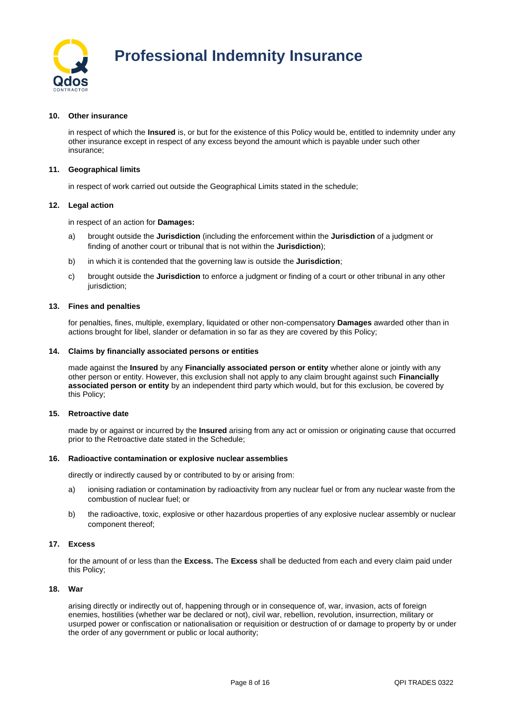

## **10. Other insurance**

in respect of which the **Insured** is, or but for the existence of this Policy would be, entitled to indemnity under any other insurance except in respect of any excess beyond the amount which is payable under such other insurance;

## **11. Geographical limits**

in respect of work carried out outside the Geographical Limits stated in the schedule;

#### **12. Legal action**

in respect of an action for **Damages:**

- a) brought outside the **Jurisdiction** (including the enforcement within the **Jurisdiction** of a judgment or finding of another court or tribunal that is not within the **Jurisdiction**);
- b) in which it is contended that the governing law is outside the **Jurisdiction**;
- c) brought outside the **Jurisdiction** to enforce a judgment or finding of a court or other tribunal in any other jurisdiction;

#### **13. Fines and penalties**

for penalties, fines, multiple, exemplary, liquidated or other non-compensatory **Damages** awarded other than in actions brought for libel, slander or defamation in so far as they are covered by this Policy;

#### **14. Claims by financially associated persons or entities**

made against the **Insured** by any **Financially associated person or entity** whether alone or jointly with any other person or entity. However, this exclusion shall not apply to any claim brought against such **Financially associated person or entity** by an independent third party which would, but for this exclusion, be covered by this Policy;

#### **15. Retroactive date**

made by or against or incurred by the **Insured** arising from any act or omission or originating cause that occurred prior to the Retroactive date stated in the Schedule;

#### **16. Radioactive contamination or explosive nuclear assemblies**

directly or indirectly caused by or contributed to by or arising from:

- a) ionising radiation or contamination by radioactivity from any nuclear fuel or from any nuclear waste from the combustion of nuclear fuel; or
- b) the radioactive, toxic, explosive or other hazardous properties of any explosive nuclear assembly or nuclear component thereof;

### **17. Excess**

for the amount of or less than the **Excess.** The **Excess** shall be deducted from each and every claim paid under this Policy;

#### **18. War**

arising directly or indirectly out of, happening through or in consequence of, war, invasion, acts of foreign enemies, hostilities (whether war be declared or not), civil war, rebellion, revolution, insurrection, military or usurped power or confiscation or nationalisation or requisition or destruction of or damage to property by or under the order of any government or public or local authority;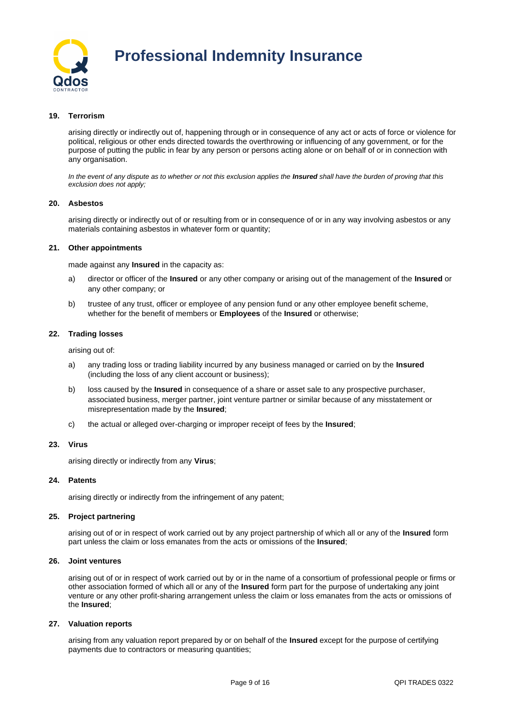

## **19. Terrorism**

arising directly or indirectly out of, happening through or in consequence of any act or acts of force or violence for political, religious or other ends directed towards the overthrowing or influencing of any government, or for the purpose of putting the public in fear by any person or persons acting alone or on behalf of or in connection with any organisation.

In the event of any dispute as to whether or not this exclusion applies the **Insured** shall have the burden of proving that this *exclusion does not apply;*

## **20. Asbestos**

arising directly or indirectly out of or resulting from or in consequence of or in any way involving asbestos or any materials containing asbestos in whatever form or quantity;

#### **21. Other appointments**

made against any **Insured** in the capacity as:

- a) director or officer of the **Insured** or any other company or arising out of the management of the **Insured** or any other company; or
- b) trustee of any trust, officer or employee of any pension fund or any other employee benefit scheme, whether for the benefit of members or **Employees** of the **Insured** or otherwise;

## **22. Trading losses**

arising out of:

- a) any trading loss or trading liability incurred by any business managed or carried on by the **Insured** (including the loss of any client account or business);
- b) loss caused by the **Insured** in consequence of a share or asset sale to any prospective purchaser, associated business, merger partner, joint venture partner or similar because of any misstatement or misrepresentation made by the **Insured**;
- c) the actual or alleged over-charging or improper receipt of fees by the **Insured**;

## **23. Virus**

arising directly or indirectly from any **Virus**;

#### **24. Patents**

arising directly or indirectly from the infringement of any patent;

## **25. Project partnering**

arising out of or in respect of work carried out by any project partnership of which all or any of the **Insured** form part unless the claim or loss emanates from the acts or omissions of the **Insured**;

## **26. Joint ventures**

arising out of or in respect of work carried out by or in the name of a consortium of professional people or firms or other association formed of which all or any of the **Insured** form part for the purpose of undertaking any joint venture or any other profit-sharing arrangement unless the claim or loss emanates from the acts or omissions of the **Insured**;

## **27. Valuation reports**

arising from any valuation report prepared by or on behalf of the **Insured** except for the purpose of certifying payments due to contractors or measuring quantities;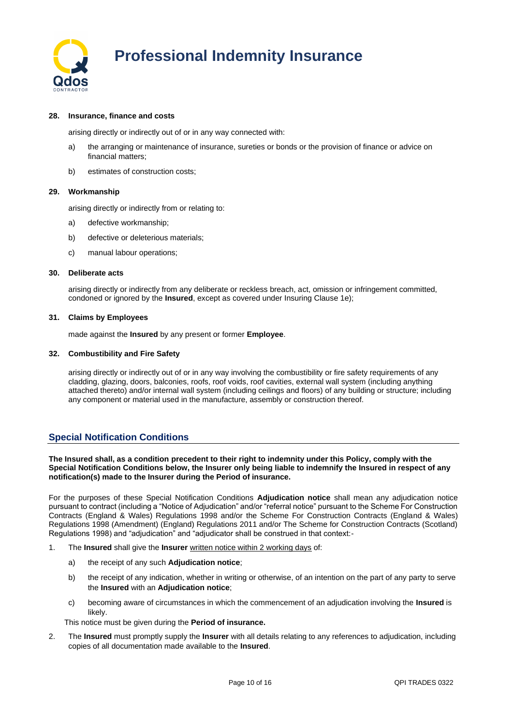

## **28. Insurance, finance and costs**

arising directly or indirectly out of or in any way connected with:

- a) the arranging or maintenance of insurance, sureties or bonds or the provision of finance or advice on financial matters;
- b) estimates of construction costs;

## **29. Workmanship**

arising directly or indirectly from or relating to:

- a) defective workmanship;
- b) defective or deleterious materials;
- c) manual labour operations;

## **30. Deliberate acts**

arising directly or indirectly from any deliberate or reckless breach, act, omission or infringement committed, condoned or ignored by the **Insured**, except as covered under Insuring Clause 1e);

## **31. Claims by Employees**

made against the **Insured** by any present or former **Employee**.

## **32. Combustibility and Fire Safety**

arising directly or indirectly out of or in any way involving the combustibility or fire safety requirements of any cladding, glazing, doors, balconies, roofs, roof voids, roof cavities, external wall system (including anything attached thereto) and/or internal wall system (including ceilings and floors) of any building or structure; including any component or material used in the manufacture, assembly or construction thereof.

## **Special Notification Conditions**

**The Insured shall, as a condition precedent to their right to indemnity under this Policy, comply with the Special Notification Conditions below, the Insurer only being liable to indemnify the Insured in respect of any notification(s) made to the Insurer during the Period of insurance.**

For the purposes of these Special Notification Conditions **Adjudication notice** shall mean any adjudication notice pursuant to contract (including a "Notice of Adjudication" and/or "referral notice" pursuant to the Scheme For Construction Contracts (England & Wales) Regulations 1998 and/or the Scheme For Construction Contracts (England & Wales) Regulations 1998 (Amendment) (England) Regulations 2011 and/or The Scheme for Construction Contracts (Scotland) Regulations 1998) and "adjudication" and "adjudicator shall be construed in that context:-

- 1. The **Insured** shall give the **Insurer** written notice within 2 working days of:
	- a) the receipt of any such **Adjudication notice**;
	- b) the receipt of any indication, whether in writing or otherwise, of an intention on the part of any party to serve the **Insured** with an **Adjudication notice**;
	- c) becoming aware of circumstances in which the commencement of an adjudication involving the **Insured** is likely.

This notice must be given during the **Period of insurance.**

2. The **Insured** must promptly supply the **Insurer** with all details relating to any references to adjudication, including copies of all documentation made available to the **Insured**.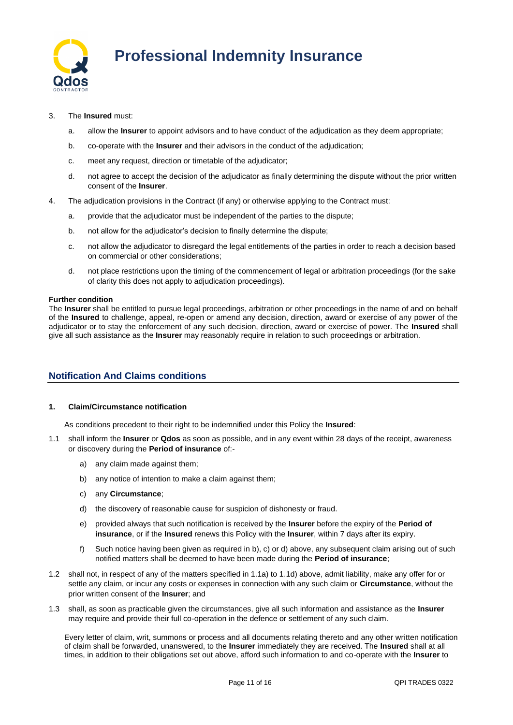

- 3. The **Insured** must:
	- a. allow the **Insurer** to appoint advisors and to have conduct of the adjudication as they deem appropriate;
	- b. co-operate with the **Insurer** and their advisors in the conduct of the adjudication;
	- c. meet any request, direction or timetable of the adjudicator;
	- d. not agree to accept the decision of the adjudicator as finally determining the dispute without the prior written consent of the **Insurer**.
- 4. The adjudication provisions in the Contract (if any) or otherwise applying to the Contract must:
	- a. provide that the adjudicator must be independent of the parties to the dispute;
	- b. not allow for the adjudicator's decision to finally determine the dispute;
	- c. not allow the adjudicator to disregard the legal entitlements of the parties in order to reach a decision based on commercial or other considerations;
	- d. not place restrictions upon the timing of the commencement of legal or arbitration proceedings (for the sake of clarity this does not apply to adjudication proceedings).

## **Further condition**

The **Insurer** shall be entitled to pursue legal proceedings, arbitration or other proceedings in the name of and on behalf of the **Insured** to challenge, appeal, re-open or amend any decision, direction, award or exercise of any power of the adjudicator or to stay the enforcement of any such decision, direction, award or exercise of power. The **Insured** shall give all such assistance as the **Insurer** may reasonably require in relation to such proceedings or arbitration.

## **Notification And Claims conditions**

## **1. Claim/Circumstance notification**

As conditions precedent to their right to be indemnified under this Policy the **Insured**:

- 1.1 shall inform the **Insurer** or **Qdos** as soon as possible, and in any event within 28 days of the receipt, awareness or discovery during the **Period of insurance** of:
	- a) any claim made against them;
	- b) any notice of intention to make a claim against them;
	- c) any **Circumstance**;
	- d) the discovery of reasonable cause for suspicion of dishonesty or fraud.
	- e) provided always that such notification is received by the **Insurer** before the expiry of the **Period of insurance**, or if the **Insured** renews this Policy with the **Insurer**, within 7 days after its expiry.
	- f) Such notice having been given as required in b), c) or d) above, any subsequent claim arising out of such notified matters shall be deemed to have been made during the **Period of insurance**;
- 1.2 shall not, in respect of any of the matters specified in 1.1a) to 1.1d) above, admit liability, make any offer for or settle any claim, or incur any costs or expenses in connection with any such claim or **Circumstance**, without the prior written consent of the **Insurer**; and
- 1.3 shall, as soon as practicable given the circumstances, give all such information and assistance as the **Insurer** may require and provide their full co-operation in the defence or settlement of any such claim.

Every letter of claim, writ, summons or process and all documents relating thereto and any other written notification of claim shall be forwarded, unanswered, to the **Insurer** immediately they are received. The **Insured** shall at all times, in addition to their obligations set out above, afford such information to and co-operate with the **Insurer** to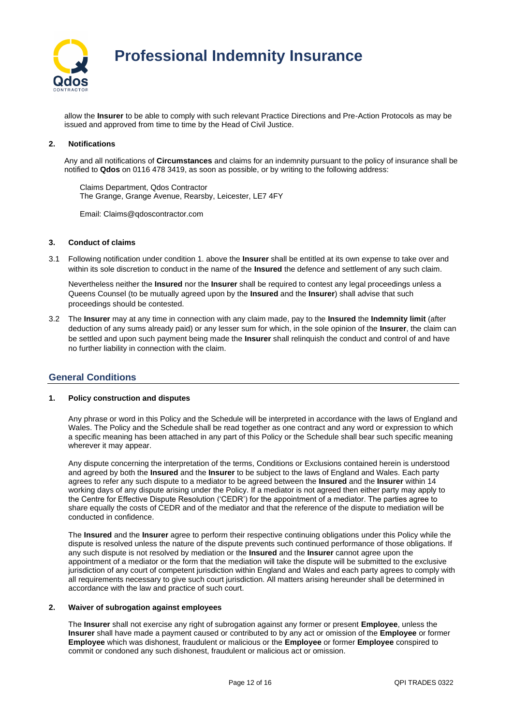

allow the **Insurer** to be able to comply with such relevant Practice Directions and Pre-Action Protocols as may be issued and approved from time to time by the Head of Civil Justice.

## **2. Notifications**

Any and all notifications of **Circumstances** and claims for an indemnity pursuant to the policy of insurance shall be notified to **Qdos** on 0116 478 3419, as soon as possible, or by writing to the following address:

Claims Department, Qdos Contractor The Grange, Grange Avenue, Rearsby, Leicester, LE7 4FY

Email: Claims@qdoscontractor.com

## **3. Conduct of claims**

3.1 Following notification under condition 1. above the **Insurer** shall be entitled at its own expense to take over and within its sole discretion to conduct in the name of the **Insured** the defence and settlement of any such claim.

Nevertheless neither the **Insured** nor the **Insurer** shall be required to contest any legal proceedings unless a Queens Counsel (to be mutually agreed upon by the **Insured** and the **Insurer**) shall advise that such proceedings should be contested.

3.2 The **Insurer** may at any time in connection with any claim made, pay to the **Insured** the **Indemnity limit** (after deduction of any sums already paid) or any lesser sum for which, in the sole opinion of the **Insurer**, the claim can be settled and upon such payment being made the **Insurer** shall relinquish the conduct and control of and have no further liability in connection with the claim.

## **General Conditions**

## **1. Policy construction and disputes**

Any phrase or word in this Policy and the Schedule will be interpreted in accordance with the laws of England and Wales. The Policy and the Schedule shall be read together as one contract and any word or expression to which a specific meaning has been attached in any part of this Policy or the Schedule shall bear such specific meaning wherever it may appear.

Any dispute concerning the interpretation of the terms, Conditions or Exclusions contained herein is understood and agreed by both the **Insured** and the **Insurer** to be subject to the laws of England and Wales. Each party agrees to refer any such dispute to a mediator to be agreed between the **Insured** and the **Insurer** within 14 working days of any dispute arising under the Policy. If a mediator is not agreed then either party may apply to the Centre for Effective Dispute Resolution ('CEDR') for the appointment of a mediator. The parties agree to share equally the costs of CEDR and of the mediator and that the reference of the dispute to mediation will be conducted in confidence.

The **Insured** and the **Insurer** agree to perform their respective continuing obligations under this Policy while the dispute is resolved unless the nature of the dispute prevents such continued performance of those obligations. If any such dispute is not resolved by mediation or the **Insured** and the **Insurer** cannot agree upon the appointment of a mediator or the form that the mediation will take the dispute will be submitted to the exclusive jurisdiction of any court of competent jurisdiction within England and Wales and each party agrees to comply with all requirements necessary to give such court jurisdiction. All matters arising hereunder shall be determined in accordance with the law and practice of such court.

## **2. Waiver of subrogation against employees**

The **Insurer** shall not exercise any right of subrogation against any former or present **Employee**, unless the **Insurer** shall have made a payment caused or contributed to by any act or omission of the **Employee** or former **Employee** which was dishonest, fraudulent or malicious or the **Employee** or former **Employee** conspired to commit or condoned any such dishonest, fraudulent or malicious act or omission.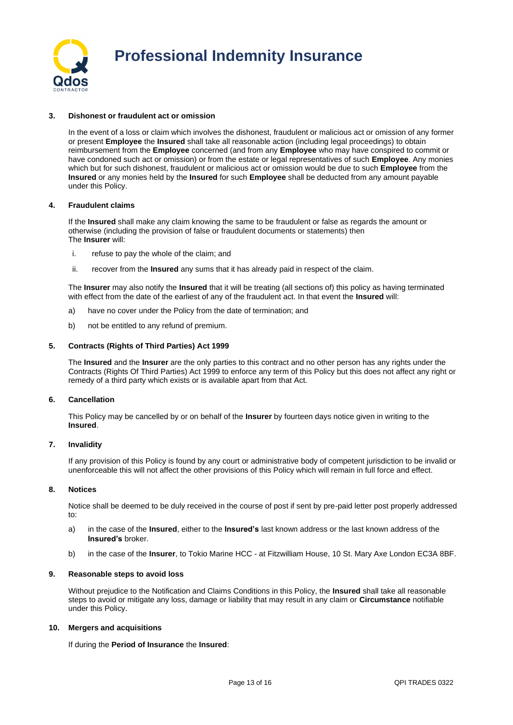

## **3. Dishonest or fraudulent act or omission**

In the event of a loss or claim which involves the dishonest, fraudulent or malicious act or omission of any former or present **Employee** the **Insured** shall take all reasonable action (including legal proceedings) to obtain reimbursement from the **Employee** concerned (and from any **Employee** who may have conspired to commit or have condoned such act or omission) or from the estate or legal representatives of such **Employee**. Any monies which but for such dishonest, fraudulent or malicious act or omission would be due to such **Employee** from the **Insured** or any monies held by the **Insured** for such **Employee** shall be deducted from any amount payable under this Policy.

## **4. Fraudulent claims**

If the **Insured** shall make any claim knowing the same to be fraudulent or false as regards the amount or otherwise (including the provision of false or fraudulent documents or statements) then The **Insurer** will:

- i. refuse to pay the whole of the claim; and
- ii. recover from the **Insured** any sums that it has already paid in respect of the claim.

The **Insurer** may also notify the **Insured** that it will be treating (all sections of) this policy as having terminated with effect from the date of the earliest of any of the fraudulent act. In that event the **Insured** will:

- a) have no cover under the Policy from the date of termination; and
- b) not be entitled to any refund of premium.

#### **5. Contracts (Rights of Third Parties) Act 1999**

The **Insured** and the **Insurer** are the only parties to this contract and no other person has any rights under the Contracts (Rights Of Third Parties) Act 1999 to enforce any term of this Policy but this does not affect any right or remedy of a third party which exists or is available apart from that Act.

## **6. Cancellation**

This Policy may be cancelled by or on behalf of the **Insurer** by fourteen days notice given in writing to the **Insured**.

## **7. Invalidity**

If any provision of this Policy is found by any court or administrative body of competent jurisdiction to be invalid or unenforceable this will not affect the other provisions of this Policy which will remain in full force and effect.

## **8. Notices**

Notice shall be deemed to be duly received in the course of post if sent by pre-paid letter post properly addressed to:

- a) in the case of the **Insured**, either to the **Insured's** last known address or the last known address of the **Insured's** broker.
- b) in the case of the **Insurer**, to Tokio Marine HCC at Fitzwilliam House, 10 St. Mary Axe London EC3A 8BF.

### **9. Reasonable steps to avoid loss**

Without prejudice to the Notification and Claims Conditions in this Policy, the **Insured** shall take all reasonable steps to avoid or mitigate any loss, damage or liability that may result in any claim or **Circumstance** notifiable under this Policy.

#### **10. Mergers and acquisitions**

If during the **Period of Insurance** the **Insured**: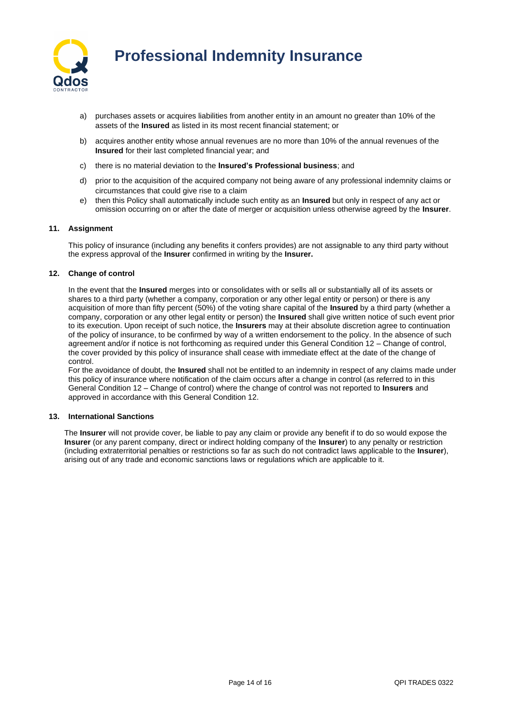

- a) purchases assets or acquires liabilities from another entity in an amount no greater than 10% of the assets of the **Insured** as listed in its most recent financial statement; or
- b) acquires another entity whose annual revenues are no more than 10% of the annual revenues of the **Insured** for their last completed financial year; and
- c) there is no material deviation to the **Insured's Professional business**; and
- d) prior to the acquisition of the acquired company not being aware of any professional indemnity claims or circumstances that could give rise to a claim
- e) then this Policy shall automatically include such entity as an **Insured** but only in respect of any act or omission occurring on or after the date of merger or acquisition unless otherwise agreed by the **Insurer**.

## **11. Assignment**

This policy of insurance (including any benefits it confers provides) are not assignable to any third party without the express approval of the **Insurer** confirmed in writing by the **Insurer.**

### **12. Change of control**

In the event that the **Insured** merges into or consolidates with or sells all or substantially all of its assets or shares to a third party (whether a company, corporation or any other legal entity or person) or there is any acquisition of more than fifty percent (50%) of the voting share capital of the **Insured** by a third party (whether a company, corporation or any other legal entity or person) the **Insured** shall give written notice of such event prior to its execution. Upon receipt of such notice, the **Insurers** may at their absolute discretion agree to continuation of the policy of insurance, to be confirmed by way of a written endorsement to the policy. In the absence of such agreement and/or if notice is not forthcoming as required under this General Condition 12 – Change of control, the cover provided by this policy of insurance shall cease with immediate effect at the date of the change of control.

For the avoidance of doubt, the **Insured** shall not be entitled to an indemnity in respect of any claims made under this policy of insurance where notification of the claim occurs after a change in control (as referred to in this General Condition 12 – Change of control) where the change of control was not reported to **Insurers** and approved in accordance with this General Condition 12.

#### **13. International Sanctions**

The **Insurer** will not provide cover, be liable to pay any claim or provide any benefit if to do so would expose the **Insurer** (or any parent company, direct or indirect holding company of the **Insurer**) to any penalty or restriction (including extraterritorial penalties or restrictions so far as such do not contradict laws applicable to the **Insurer**), arising out of any trade and economic sanctions laws or regulations which are applicable to it.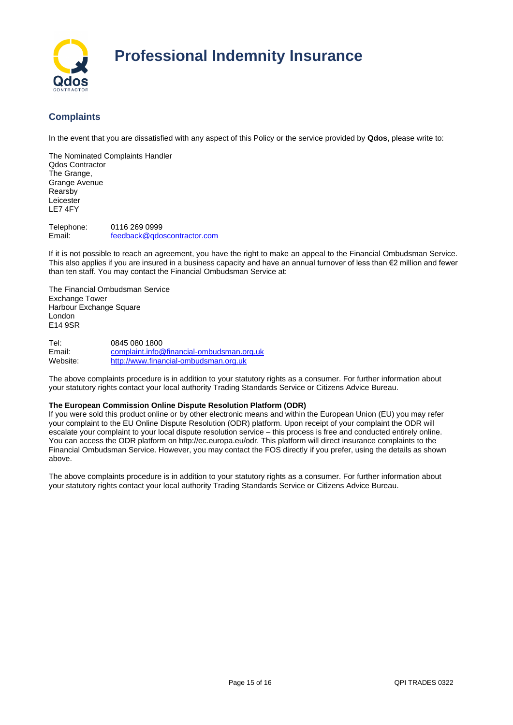

## **Complaints**

In the event that you are dissatisfied with any aspect of this Policy or the service provided by **Qdos**, please write to:

The Nominated Complaints Handler Qdos Contractor The Grange, Grange Avenue Rearsby Leicester LE7 4FY

Telephone: 0116 269 0999 Email: [feedback@qdoscontractor.com](mailto:feedback@qdoscontractor.com)

If it is not possible to reach an agreement, you have the right to make an appeal to the Financial Ombudsman Service. This also applies if you are insured in a business capacity and have an annual turnover of less than €2 million and fewer than ten staff. You may contact the Financial Ombudsman Service at:

The Financial Ombudsman Service Exchange Tower Harbour Exchange Square London E14 9SR

Tel: 0845 080 1800<br>
Fmail: complaint info@ [complaint.info@financial-ombudsman.org.uk](mailto:complaint.info@financial-ombudsman.org.uk) Website: [http://www.financial-ombudsman.org.uk](http://www.financial-ombudsman.org.uk/)

The above complaints procedure is in addition to your statutory rights as a consumer. For further information about your statutory rights contact your local authority Trading Standards Service or Citizens Advice Bureau.

## **The European Commission Online Dispute Resolution Platform (ODR)**

If you were sold this product online or by other electronic means and within the European Union (EU) you may refer your complaint to the EU Online Dispute Resolution (ODR) platform. Upon receipt of your complaint the ODR will escalate your complaint to your local dispute resolution service – this process is free and conducted entirely online. You can access the ODR platform on http://ec.europa.eu/odr. This platform will direct insurance complaints to the Financial Ombudsman Service. However, you may contact the FOS directly if you prefer, using the details as shown above.

The above complaints procedure is in addition to your statutory rights as a consumer. For further information about your statutory rights contact your local authority Trading Standards Service or Citizens Advice Bureau.